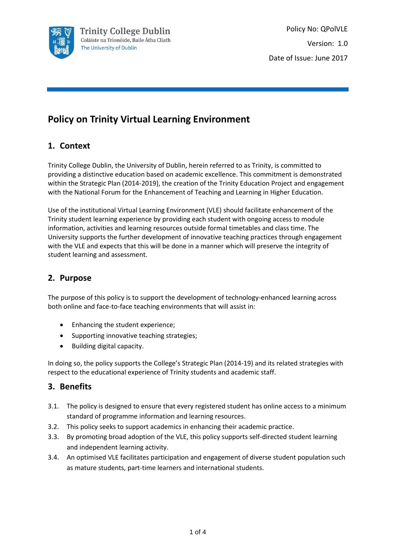

# **Policy on Trinity Virtual Learning Environment**

## **1. Context**

Trinity College Dublin, the University of Dublin, herein referred to as Trinity, is committed to providing a distinctive education based on academic excellence. This commitment is demonstrated within the Strategic Plan (2014-2019), the creation of the Trinity Education Project and engagement with the National Forum for the Enhancement of Teaching and Learning in Higher Education.

Use of the institutional Virtual Learning Environment (VLE) should facilitate enhancement of the Trinity student learning experience by providing each student with ongoing access to module information, activities and learning resources outside formal timetables and class time. The University supports the further development of innovative teaching practices through engagement with the VLE and expects that this will be done in a manner which will preserve the integrity of student learning and assessment.

## **2. Purpose**

The purpose of this policy is to support the development of technology-enhanced learning across both online and face-to-face teaching environments that will assist in:

- Enhancing the student experience;
- Supporting innovative teaching strategies;
- Building digital capacity.

In doing so, the policy supports the College's Strategic Plan (2014-19) and its related strategies with respect to the educational experience of Trinity students and academic staff.

#### **3. Benefits**

- 3.1. The policy is designed to ensure that every registered student has online access to a minimum standard of programme information and learning resources.
- 3.2. This policy seeks to support academics in enhancing their academic practice.
- 3.3. By promoting broad adoption of the VLE, this policy supports self-directed student learning and independent learning activity.
- 3.4. An optimised VLE facilitates participation and engagement of diverse student population such as mature students, part-time learners and international students.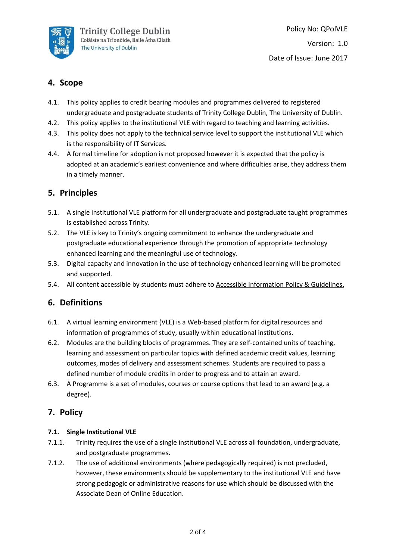

## **4. Scope**

- 4.1. This policy applies to credit bearing modules and programmes delivered to registered undergraduate and postgraduate students of Trinity College Dublin, The University of Dublin.
- 4.2. This policy applies to the institutional VLE with regard to teaching and learning activities.
- 4.3. This policy does not apply to the technical service level to support the institutional VLE which is the responsibility of IT Services.
- 4.4. A formal timeline for adoption is not proposed however it is expected that the policy is adopted at an academic's earliest convenience and where difficulties arise, they address them in a timely manner.

## **5. Principles**

- 5.1. A single institutional VLE platform for all undergraduate and postgraduate taught programmes is established across Trinity.
- 5.2. The VLE is key to Trinity's ongoing commitment to enhance the undergraduate and postgraduate educational experience through the promotion of appropriate technology enhanced learning and the meaningful use of technology.
- 5.3. Digital capacity and innovation in the use of technology enhanced learning will be promoted and supported.
- 5.4. All content accessible by students must adhere t[o Accessible Information Policy & Guidelines.](http://www.tcd.ie/about/policies/accessible-info-policy.php)

### **6. Definitions**

- 6.1. A virtual learning environment (VLE) is a Web-based platform for digital resources and information of programmes of study, usually within educational institutions.
- 6.2. Modules are the building blocks of programmes. They are self-contained units of teaching, learning and assessment on particular topics with defined academic credit values, learning outcomes, modes of delivery and assessment schemes. Students are required to pass a defined number of module credits in order to progress and to attain an award.
- 6.3. A Programme is a set of modules, courses or course options that lead to an award (e.g. a degree).

## **7. Policy**

#### **7.1. Single Institutional VLE**

- 7.1.1. Trinity requires the use of a single institutional VLE across all foundation, undergraduate, and postgraduate programmes.
- 7.1.2. The use of additional environments (where pedagogically required) is not precluded, however, these environments should be supplementary to the institutional VLE and have strong pedagogic or administrative reasons for use which should be discussed with the Associate Dean of Online Education.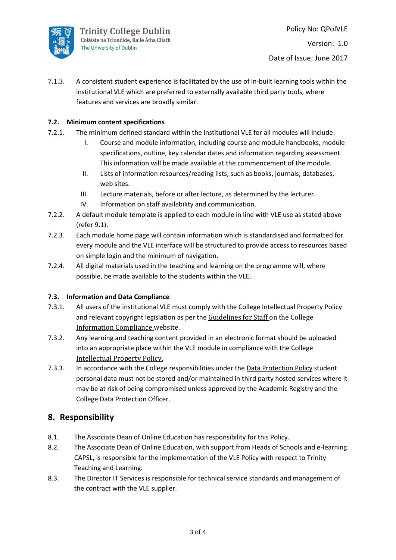

7.1.3. A consistent student experience is facilitated by the use of in-built learning tools within the institutional VLE which are preferred to externally available third party tools, where features and services are broadly similar.

#### **7.2. Minimum content specifications**

- 7.2.1. The minimum defined standard within the institutional VLE for all modules will include:
	- I. Course and module information, including course and module handbooks, module specifications, outline, key calendar dates and information regarding assessment. This information will be made available at the commencement of the module.
	- II. Lists of information resources/reading lists, such as books, journals, databases, web sites.
	- III. Lecture materials, before or after lecture, as determined by the lecturer.
	- IV. Information on staff availability and communication.
- 7.2.2. A default module template is applied to each module in line with VLE use as stated above (refer 9.1).
- 7.2.3. Each module home page will contain information which is standardised and formatted for every module and the VLE interface will be structured to provide access to resources based on simple login and the minimum of navigation.
- 7.2.4. All digital materials used in the teaching and learning on the programme will, where possible, be made available to the students within the VLE.

#### **7.3. Information and Data Compliance**

- 7.3.1. All users of the institutional VLE must comply with the College Intellectual Property Policy and relevant copyright legislation as per the [Guidelines for Staff](https://www.tcd.ie/info_compliance/copyright/staff-guidelines/) on the College [Information Compliance](https://www.tcd.ie/info_compliance/copyright/) website.
- 7.3.2. Any learning and teaching content provided in an electronic format should be uploaded into an appropriate place within the VLE module in compliance with the College [Intellectual Property Policy.](https://www.tcd.ie/about/policies/assets/pdf/intellectual-property-policy.pdf)
- 7.3.3. In accordance with the College responsibilities under th[e Data Protection Policy](https://www.tcd.ie/about/policies/data_protection.php) student personal data must not be stored and/or maintained in third party hosted services where it may be at risk of being compromised unless approved by the Academic Registry and the College Data Protection Officer.

#### **8. Responsibility**

- 8.1. The Associate Dean of Online Education has responsibility for this Policy.
- 8.2. The Associate Dean of Online Education, with support from Heads of Schools and e-learning CAPSL, is responsible for the implementation of the VLE Policy with respect to Trinity Teaching and Learning.
- 8.3. The Director IT Services is responsible for technical service standards and management of the contract with the VLE supplier.